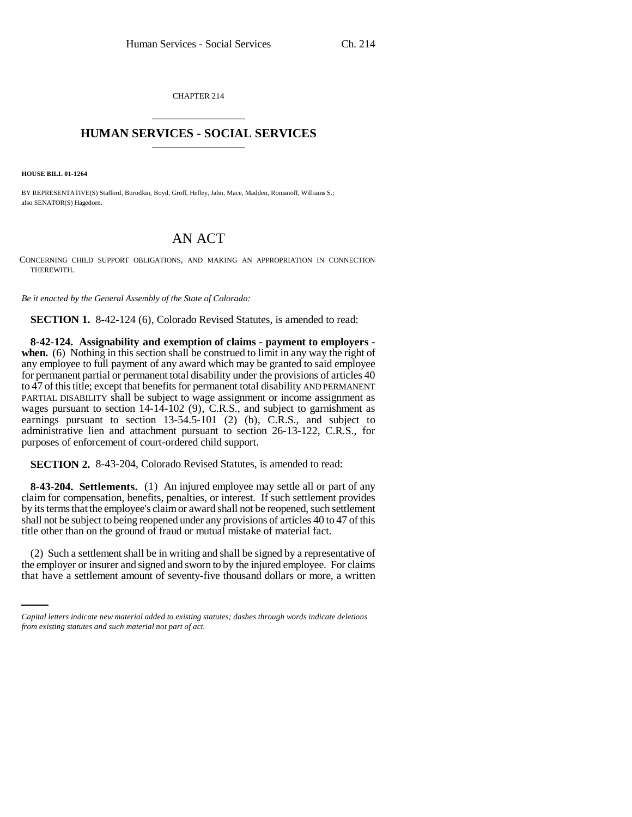CHAPTER 214 \_\_\_\_\_\_\_\_\_\_\_\_\_\_\_

## **HUMAN SERVICES - SOCIAL SERVICES** \_\_\_\_\_\_\_\_\_\_\_\_\_\_\_

**HOUSE BILL 01-1264**

BY REPRESENTATIVE(S) Stafford, Borodkin, Boyd, Groff, Hefley, Jahn, Mace, Madden, Romanoff, Williams S.; also SENATOR(S) Hagedorn.

## AN ACT

CONCERNING CHILD SUPPORT OBLIGATIONS, AND MAKING AN APPROPRIATION IN CONNECTION THEREWITH.

*Be it enacted by the General Assembly of the State of Colorado:*

**SECTION 1.** 8-42-124 (6), Colorado Revised Statutes, is amended to read:

**8-42-124. Assignability and exemption of claims - payment to employers when.** (6) Nothing in this section shall be construed to limit in any way the right of any employee to full payment of any award which may be granted to said employee for permanent partial or permanent total disability under the provisions of articles 40 to 47 of this title; except that benefits for permanent total disability AND PERMANENT PARTIAL DISABILITY shall be subject to wage assignment or income assignment as wages pursuant to section 14-14-102 (9), C.R.S., and subject to garnishment as earnings pursuant to section 13-54.5-101 (2) (b), C.R.S., and subject to administrative lien and attachment pursuant to section 26-13-122, C.R.S., for purposes of enforcement of court-ordered child support.

**SECTION 2.** 8-43-204, Colorado Revised Statutes, is amended to read:

**8-43-204. Settlements.** (1) An injured employee may settle all or part of any claim for compensation, benefits, penalties, or interest. If such settlement provides by its terms that the employee's claim or award shall not be reopened, such settlement shall not be subject to being reopened under any provisions of articles 40 to 47 of this title other than on the ground of fraud or mutual mistake of material fact.

(2) Such a settlement shall be in writing and shall be signed by a representative of the employer or insurer and signed and sworn to by the injured employee. For claims that have a settlement amount of seventy-five thousand dollars or more, a written

*Capital letters indicate new material added to existing statutes; dashes through words indicate deletions from existing statutes and such material not part of act.*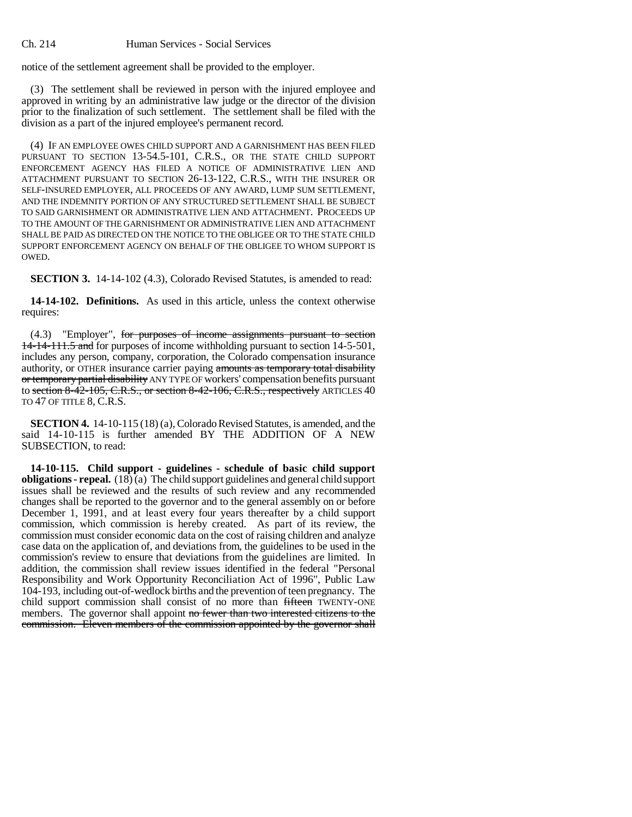notice of the settlement agreement shall be provided to the employer.

(3) The settlement shall be reviewed in person with the injured employee and approved in writing by an administrative law judge or the director of the division prior to the finalization of such settlement. The settlement shall be filed with the division as a part of the injured employee's permanent record.

(4) IF AN EMPLOYEE OWES CHILD SUPPORT AND A GARNISHMENT HAS BEEN FILED PURSUANT TO SECTION 13-54.5-101, C.R.S., OR THE STATE CHILD SUPPORT ENFORCEMENT AGENCY HAS FILED A NOTICE OF ADMINISTRATIVE LIEN AND ATTACHMENT PURSUANT TO SECTION 26-13-122, C.R.S., WITH THE INSURER OR SELF-INSURED EMPLOYER, ALL PROCEEDS OF ANY AWARD, LUMP SUM SETTLEMENT, AND THE INDEMNITY PORTION OF ANY STRUCTURED SETTLEMENT SHALL BE SUBJECT TO SAID GARNISHMENT OR ADMINISTRATIVE LIEN AND ATTACHMENT. PROCEEDS UP TO THE AMOUNT OF THE GARNISHMENT OR ADMINISTRATIVE LIEN AND ATTACHMENT SHALL BE PAID AS DIRECTED ON THE NOTICE TO THE OBLIGEE OR TO THE STATE CHILD SUPPORT ENFORCEMENT AGENCY ON BEHALF OF THE OBLIGEE TO WHOM SUPPORT IS OWED.

**SECTION 3.** 14-14-102 (4.3), Colorado Revised Statutes, is amended to read:

**14-14-102. Definitions.** As used in this article, unless the context otherwise requires:

(4.3) "Employer", for purposes of income assignments pursuant to section 14-14-111.5 and for purposes of income withholding pursuant to section 14-5-501, includes any person, company, corporation, the Colorado compensation insurance authority, or OTHER insurance carrier paying amounts as temporary total disability or temporary partial disability ANY TYPE OF workers' compensation benefits pursuant to section 8-42-105, C.R.S., or section 8-42-106, C.R.S., respectively ARTICLES 40 TO 47 OF TITLE 8, C.R.S.

**SECTION 4.** 14-10-115 (18) (a), Colorado Revised Statutes, is amended, and the said 14-10-115 is further amended BY THE ADDITION OF A NEW SUBSECTION, to read:

**14-10-115. Child support - guidelines - schedule of basic child support obligations - repeal.** (18) (a) The child support guidelines and general child support issues shall be reviewed and the results of such review and any recommended changes shall be reported to the governor and to the general assembly on or before December 1, 1991, and at least every four years thereafter by a child support commission, which commission is hereby created. As part of its review, the commission must consider economic data on the cost of raising children and analyze case data on the application of, and deviations from, the guidelines to be used in the commission's review to ensure that deviations from the guidelines are limited. In addition, the commission shall review issues identified in the federal "Personal Responsibility and Work Opportunity Reconciliation Act of 1996", Public Law 104-193, including out-of-wedlock births and the prevention of teen pregnancy. The child support commission shall consist of no more than fifteen TWENTY-ONE members. The governor shall appoint no fewer than two interested citizens to the commission. Eleven members of the commission appointed by the governor shall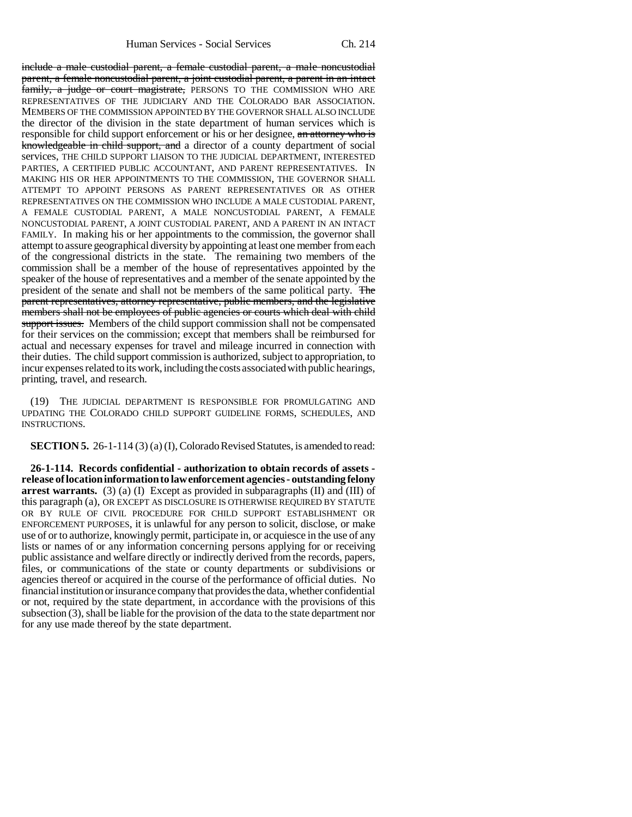include a male custodial parent, a female custodial parent, a male noncustodial parent, a female noncustodial parent, a joint custodial parent, a parent in an intact family, a judge or court magistrate, PERSONS TO THE COMMISSION WHO ARE REPRESENTATIVES OF THE JUDICIARY AND THE COLORADO BAR ASSOCIATION. MEMBERS OF THE COMMISSION APPOINTED BY THE GOVERNOR SHALL ALSO INCLUDE the director of the division in the state department of human services which is responsible for child support enforcement or his or her designee, an attorney who is knowledgeable in child support, and a director of a county department of social services, THE CHILD SUPPORT LIAISON TO THE JUDICIAL DEPARTMENT, INTERESTED PARTIES, A CERTIFIED PUBLIC ACCOUNTANT, AND PARENT REPRESENTATIVES. IN MAKING HIS OR HER APPOINTMENTS TO THE COMMISSION, THE GOVERNOR SHALL ATTEMPT TO APPOINT PERSONS AS PARENT REPRESENTATIVES OR AS OTHER REPRESENTATIVES ON THE COMMISSION WHO INCLUDE A MALE CUSTODIAL PARENT, A FEMALE CUSTODIAL PARENT, A MALE NONCUSTODIAL PARENT, A FEMALE NONCUSTODIAL PARENT, A JOINT CUSTODIAL PARENT, AND A PARENT IN AN INTACT FAMILY. In making his or her appointments to the commission, the governor shall attempt to assure geographical diversity by appointing at least one member from each of the congressional districts in the state. The remaining two members of the commission shall be a member of the house of representatives appointed by the speaker of the house of representatives and a member of the senate appointed by the president of the senate and shall not be members of the same political party. The parent representatives, attorney representative, public members, and the legislative members shall not be employees of public agencies or courts which deal with child support issues. Members of the child support commission shall not be compensated for their services on the commission; except that members shall be reimbursed for actual and necessary expenses for travel and mileage incurred in connection with their duties. The child support commission is authorized, subject to appropriation, to incur expenses related to its work, including the costs associated with public hearings, printing, travel, and research.

(19) THE JUDICIAL DEPARTMENT IS RESPONSIBLE FOR PROMULGATING AND UPDATING THE COLORADO CHILD SUPPORT GUIDELINE FORMS, SCHEDULES, AND INSTRUCTIONS.

**SECTION 5.** 26-1-114 (3) (a) (I), Colorado Revised Statutes, is amended to read:

**26-1-114. Records confidential - authorization to obtain records of assets release of location information to law enforcement agencies - outstanding felony arrest warrants.** (3) (a) (I) Except as provided in subparagraphs (II) and (III) of this paragraph (a), OR EXCEPT AS DISCLOSURE IS OTHERWISE REQUIRED BY STATUTE OR BY RULE OF CIVIL PROCEDURE FOR CHILD SUPPORT ESTABLISHMENT OR ENFORCEMENT PURPOSES, it is unlawful for any person to solicit, disclose, or make use of or to authorize, knowingly permit, participate in, or acquiesce in the use of any lists or names of or any information concerning persons applying for or receiving public assistance and welfare directly or indirectly derived from the records, papers, files, or communications of the state or county departments or subdivisions or agencies thereof or acquired in the course of the performance of official duties. No financial institution or insurance company that provides the data, whether confidential or not, required by the state department, in accordance with the provisions of this subsection (3), shall be liable for the provision of the data to the state department nor for any use made thereof by the state department.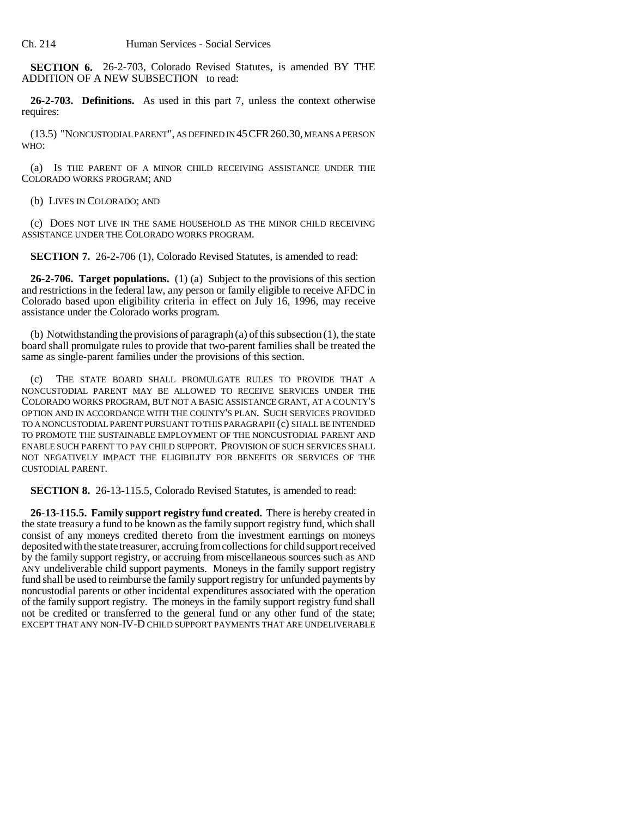**SECTION 6.** 26-2-703, Colorado Revised Statutes, is amended BY THE ADDITION OF A NEW SUBSECTION to read:

**26-2-703. Definitions.** As used in this part 7, unless the context otherwise requires:

(13.5) "NONCUSTODIAL PARENT", AS DEFINED IN 45CFR260.30, MEANS A PERSON WHO:

(a) IS THE PARENT OF A MINOR CHILD RECEIVING ASSISTANCE UNDER THE COLORADO WORKS PROGRAM; AND

(b) LIVES IN COLORADO; AND

(c) DOES NOT LIVE IN THE SAME HOUSEHOLD AS THE MINOR CHILD RECEIVING ASSISTANCE UNDER THE COLORADO WORKS PROGRAM.

**SECTION 7.** 26-2-706 (1), Colorado Revised Statutes, is amended to read:

**26-2-706. Target populations.** (1) (a) Subject to the provisions of this section and restrictions in the federal law, any person or family eligible to receive AFDC in Colorado based upon eligibility criteria in effect on July 16, 1996, may receive assistance under the Colorado works program.

(b) Notwithstanding the provisions of paragraph (a) of this subsection (1), the state board shall promulgate rules to provide that two-parent families shall be treated the same as single-parent families under the provisions of this section.

(c) THE STATE BOARD SHALL PROMULGATE RULES TO PROVIDE THAT A NONCUSTODIAL PARENT MAY BE ALLOWED TO RECEIVE SERVICES UNDER THE COLORADO WORKS PROGRAM, BUT NOT A BASIC ASSISTANCE GRANT, AT A COUNTY'S OPTION AND IN ACCORDANCE WITH THE COUNTY'S PLAN. SUCH SERVICES PROVIDED TO A NONCUSTODIAL PARENT PURSUANT TO THIS PARAGRAPH (c) SHALL BE INTENDED TO PROMOTE THE SUSTAINABLE EMPLOYMENT OF THE NONCUSTODIAL PARENT AND ENABLE SUCH PARENT TO PAY CHILD SUPPORT. PROVISION OF SUCH SERVICES SHALL NOT NEGATIVELY IMPACT THE ELIGIBILITY FOR BENEFITS OR SERVICES OF THE CUSTODIAL PARENT.

**SECTION 8.** 26-13-115.5, Colorado Revised Statutes, is amended to read:

**26-13-115.5. Family support registry fund created.** There is hereby created in the state treasury a fund to be known as the family support registry fund, which shall consist of any moneys credited thereto from the investment earnings on moneys deposited with the state treasurer, accruing from collections for child support received by the family support registry, or accruing from miscellaneous sources such as AND ANY undeliverable child support payments. Moneys in the family support registry fund shall be used to reimburse the family support registry for unfunded payments by noncustodial parents or other incidental expenditures associated with the operation of the family support registry. The moneys in the family support registry fund shall not be credited or transferred to the general fund or any other fund of the state; EXCEPT THAT ANY NON-IV-D CHILD SUPPORT PAYMENTS THAT ARE UNDELIVERABLE